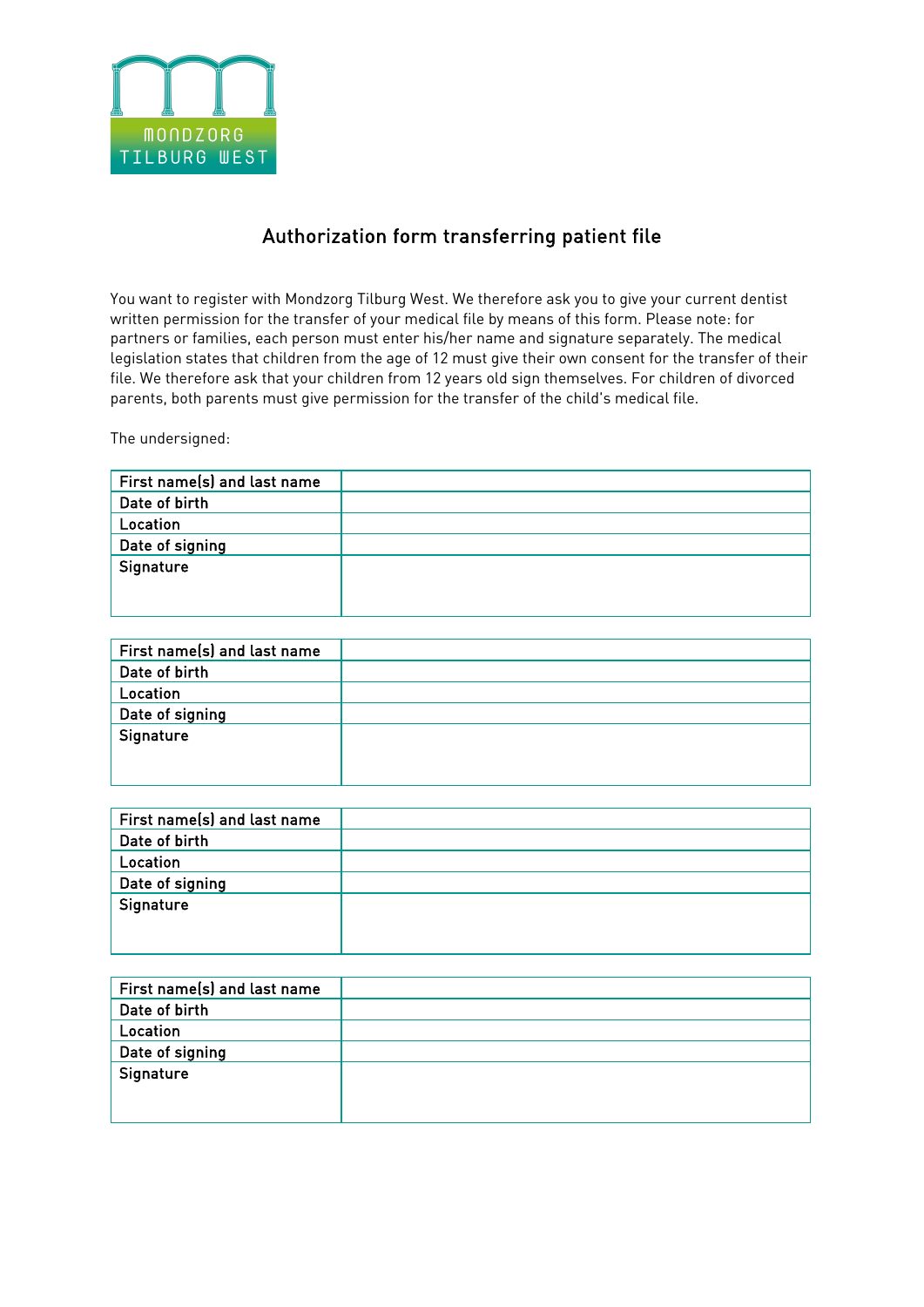

## Authorization form transferring patient file

You want to register with Mondzorg Tilburg West. We therefore ask you to give your current dentist written permission for the transfer of your medical file by means of this form. Please note: for partners or families, each person must enter his/her name and signature separately. The medical legislation states that children from the age of 12 must give their own consent for the transfer of their file. We therefore ask that your children from 12 years old sign themselves. For children of divorced parents, both parents must give permission for the transfer of the child's medical file.

The undersigned:

| First name(s) and last name |  |
|-----------------------------|--|
| Date of birth               |  |
| Location                    |  |
| Date of signing             |  |
| Signature                   |  |
|                             |  |
|                             |  |

| First name(s) and last name |  |
|-----------------------------|--|
| Date of birth               |  |
| Location                    |  |
| Date of signing             |  |
| Signature                   |  |
|                             |  |
|                             |  |

| First name(s) and last name |  |
|-----------------------------|--|
| Date of birth               |  |
| Location                    |  |
| Date of signing             |  |
| Signature                   |  |
|                             |  |
|                             |  |

| First name(s) and last name |  |
|-----------------------------|--|
| Date of birth               |  |
| Location                    |  |
| Date of signing             |  |
| Signature                   |  |
|                             |  |
|                             |  |